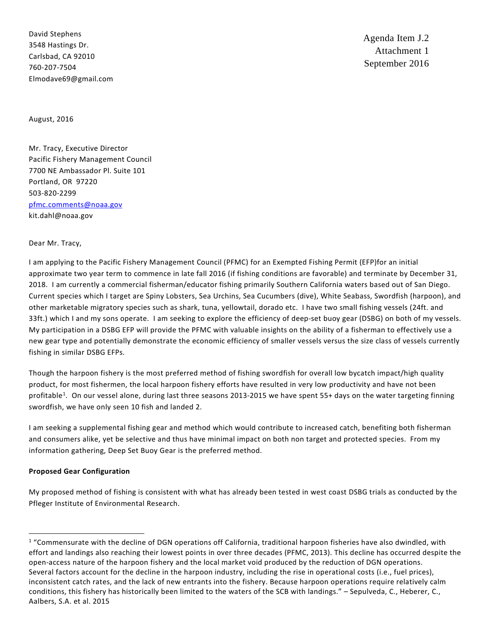David Stephens 3548 Hastings Dr. Carlsbad, CA 92010 760-207-7504 Elmodave69@gmail.com

Agenda Item J.2 Attachment 1 September 2016

August, 2016

Mr. Tracy, Executive Director Pacific Fishery Management Council 7700 NE Ambassador Pl. Suite 101 Portland, OR 97220 503-820-2299 [pfmc.comments@noaa.gov](mailto:pfmc.comments@noaa.gov) kit.dahl@noaa.gov

### Dear Mr. Tracy,

I am applying to the Pacific Fishery Management Council (PFMC) for an Exempted Fishing Permit (EFP)for an initial approximate two year term to commence in late fall 2016 (if fishing conditions are favorable) and terminate by December 31, 2018. I am currently a commercial fisherman/educator fishing primarily Southern California waters based out of San Diego. Current species which I target are Spiny Lobsters, Sea Urchins, Sea Cucumbers (dive), White Seabass, Swordfish (harpoon), and other marketable migratory species such as shark, tuna, yellowtail, dorado etc. I have two small fishing vessels (24ft. and 33ft.) which I and my sons operate. I am seeking to explore the efficiency of deep-set buoy gear (DSBG) on both of my vessels. My participation in a DSBG EFP will provide the PFMC with valuable insights on the ability of a fisherman to effectively use a new gear type and potentially demonstrate the economic efficiency of smaller vessels versus the size class of vessels currently fishing in similar DSBG EFPs.

Though the harpoon fishery is the most preferred method of fishing swordfish for overall low bycatch impact/high quality product, for most fishermen, the local harpoon fishery efforts have resulted in very low productivity and have not been profitable<sup>[1](#page-0-0)</sup>. On our vessel alone, during last three seasons 2013-2015 we have spent 55+ days on the water targeting finning swordfish, we have only seen 10 fish and landed 2.

I am seeking a supplemental fishing gear and method which would contribute to increased catch, benefiting both fisherman and consumers alike, yet be selective and thus have minimal impact on both non target and protected species. From my information gathering, Deep Set Buoy Gear is the preferred method.

### **Proposed Gear Configuration**

My proposed method of fishing is consistent with what has already been tested in west coast DSBG trials as conducted by the Pfleger Institute of Environmental Research.

<span id="page-0-0"></span> $1$  "Commensurate with the decline of DGN operations off California, traditional harpoon fisheries have also dwindled, with effort and landings also reaching their lowest points in over three decades (PFMC, 2013). This decline has occurred despite the open-access nature of the harpoon fishery and the local market void produced by the reduction of DGN operations. Several factors account for the decline in the harpoon industry, including the rise in operational costs (i.e., fuel prices), inconsistent catch rates, and the lack of new entrants into the fishery. Because harpoon operations require relatively calm conditions, this fishery has historically been limited to the waters of the SCB with landings." – Sepulveda, C., Heberer, C., Aalbers, S.A. et al. 2015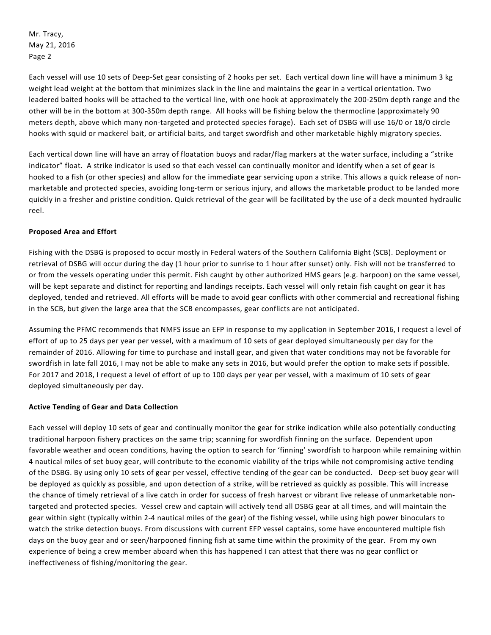Each vessel will use 10 sets of Deep-Set gear consisting of 2 hooks per set. Each vertical down line will have a minimum 3 kg weight lead weight at the bottom that minimizes slack in the line and maintains the gear in a vertical orientation. Two leadered baited hooks will be attached to the vertical line, with one hook at approximately the 200-250m depth range and the other will be in the bottom at 300-350m depth range. All hooks will be fishing below the thermocline (approximately 90 meters depth, above which many non-targeted and protected species forage). Each set of DSBG will use 16/0 or 18/0 circle hooks with squid or mackerel bait, or artificial baits, and target swordfish and other marketable highly migratory species.

Each vertical down line will have an array of floatation buoys and radar/flag markers at the water surface, including a "strike indicator" float. A strike indicator is used so that each vessel can continually monitor and identify when a set of gear is hooked to a fish (or other species) and allow for the immediate gear servicing upon a strike. This allows a quick release of nonmarketable and protected species, avoiding long-term or serious injury, and allows the marketable product to be landed more quickly in a fresher and pristine condition. Quick retrieval of the gear will be facilitated by the use of a deck mounted hydraulic reel.

# **Proposed Area and Effort**

Fishing with the DSBG is proposed to occur mostly in Federal waters of the Southern California Bight (SCB). Deployment or retrieval of DSBG will occur during the day (1 hour prior to sunrise to 1 hour after sunset) only. Fish will not be transferred to or from the vessels operating under this permit. Fish caught by other authorized HMS gears (e.g. harpoon) on the same vessel, will be kept separate and distinct for reporting and landings receipts. Each vessel will only retain fish caught on gear it has deployed, tended and retrieved. All efforts will be made to avoid gear conflicts with other commercial and recreational fishing in the SCB, but given the large area that the SCB encompasses, gear conflicts are not anticipated.

Assuming the PFMC recommends that NMFS issue an EFP in response to my application in September 2016, I request a level of effort of up to 25 days per year per vessel, with a maximum of 10 sets of gear deployed simultaneously per day for the remainder of 2016. Allowing for time to purchase and install gear, and given that water conditions may not be favorable for swordfish in late fall 2016, I may not be able to make any sets in 2016, but would prefer the option to make sets if possible. For 2017 and 2018, I request a level of effort of up to 100 days per year per vessel, with a maximum of 10 sets of gear deployed simultaneously per day.

# **Active Tending of Gear and Data Collection**

Each vessel will deploy 10 sets of gear and continually monitor the gear for strike indication while also potentially conducting traditional harpoon fishery practices on the same trip; scanning for swordfish finning on the surface. Dependent upon favorable weather and ocean conditions, having the option to search for 'finning' swordfish to harpoon while remaining within 4 nautical miles of set buoy gear, will contribute to the economic viability of the trips while not compromising active tending of the DSBG. By using only 10 sets of gear per vessel, effective tending of the gear can be conducted. Deep-set buoy gear will be deployed as quickly as possible, and upon detection of a strike, will be retrieved as quickly as possible. This will increase the chance of timely retrieval of a live catch in order for success of fresh harvest or vibrant live release of unmarketable nontargeted and protected species. Vessel crew and captain will actively tend all DSBG gear at all times, and will maintain the gear within sight (typically within 2-4 nautical miles of the gear) of the fishing vessel, while using high power binoculars to watch the strike detection buoys. From discussions with current EFP vessel captains, some have encountered multiple fish days on the buoy gear and or seen/harpooned finning fish at same time within the proximity of the gear. From my own experience of being a crew member aboard when this has happened I can attest that there was no gear conflict or ineffectiveness of fishing/monitoring the gear.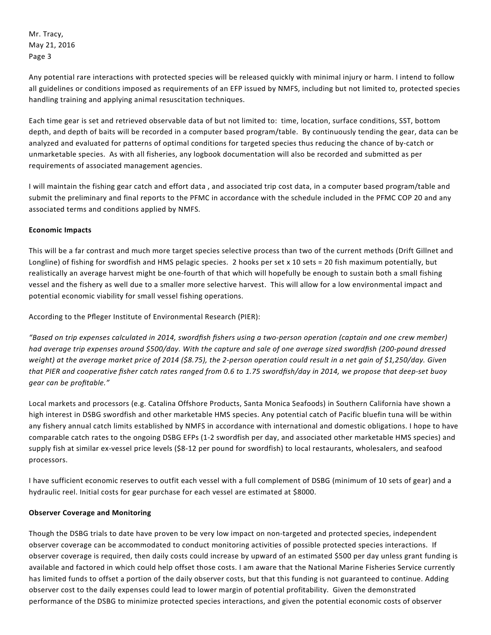Any potential rare interactions with protected species will be released quickly with minimal injury or harm. I intend to follow all guidelines or conditions imposed as requirements of an EFP issued by NMFS, including but not limited to, protected species handling training and applying animal resuscitation techniques.

Each time gear is set and retrieved observable data of but not limited to: time, location, surface conditions, SST, bottom depth, and depth of baits will be recorded in a computer based program/table. By continuously tending the gear, data can be analyzed and evaluated for patterns of optimal conditions for targeted species thus reducing the chance of by-catch or unmarketable species. As with all fisheries, any logbook documentation will also be recorded and submitted as per requirements of associated management agencies.

I will maintain the fishing gear catch and effort data , and associated trip cost data, in a computer based program/table and submit the preliminary and final reports to the PFMC in accordance with the schedule included in the PFMC COP 20 and any associated terms and conditions applied by NMFS.

# **Economic Impacts**

This will be a far contrast and much more target species selective process than two of the current methods (Drift Gillnet and Longline) of fishing for swordfish and HMS pelagic species. 2 hooks per set x 10 sets = 20 fish maximum potentially, but realistically an average harvest might be one-fourth of that which will hopefully be enough to sustain both a small fishing vessel and the fishery as well due to a smaller more selective harvest. This will allow for a low environmental impact and potential economic viability for small vessel fishing operations.

According to the Pfleger Institute of Environmental Research (PIER):

*"Based on trip expenses calculated in 2014, swordfish fishers using a two-person operation (captain and one crew member) had average trip expenses around \$500/day. With the capture and sale of one average sized swordfish (200-pound dressed weight) at the average market price of 2014 (\$8.75), the 2-person operation could result in a net gain of \$1,250/day. Given that PIER and cooperative fisher catch rates ranged from 0.6 to 1.75 swordfish/day in 2014, we propose that deep-set buoy gear can be profitable."* 

Local markets and processors (e.g. Catalina Offshore Products, Santa Monica Seafoods) in Southern California have shown a high interest in DSBG swordfish and other marketable HMS species. Any potential catch of Pacific bluefin tuna will be within any fishery annual catch limits established by NMFS in accordance with international and domestic obligations. I hope to have comparable catch rates to the ongoing DSBG EFPs (1-2 swordfish per day, and associated other marketable HMS species) and supply fish at similar ex-vessel price levels (\$8-12 per pound for swordfish) to local restaurants, wholesalers, and seafood processors.

I have sufficient economic reserves to outfit each vessel with a full complement of DSBG (minimum of 10 sets of gear) and a hydraulic reel. Initial costs for gear purchase for each vessel are estimated at \$8000.

# **Observer Coverage and Monitoring**

Though the DSBG trials to date have proven to be very low impact on non-targeted and protected species, independent observer coverage can be accommodated to conduct monitoring activities of possible protected species interactions. If observer coverage is required, then daily costs could increase by upward of an estimated \$500 per day unless grant funding is available and factored in which could help offset those costs. I am aware that the National Marine Fisheries Service currently has limited funds to offset a portion of the daily observer costs, but that this funding is not guaranteed to continue. Adding observer cost to the daily expenses could lead to lower margin of potential profitability. Given the demonstrated performance of the DSBG to minimize protected species interactions, and given the potential economic costs of observer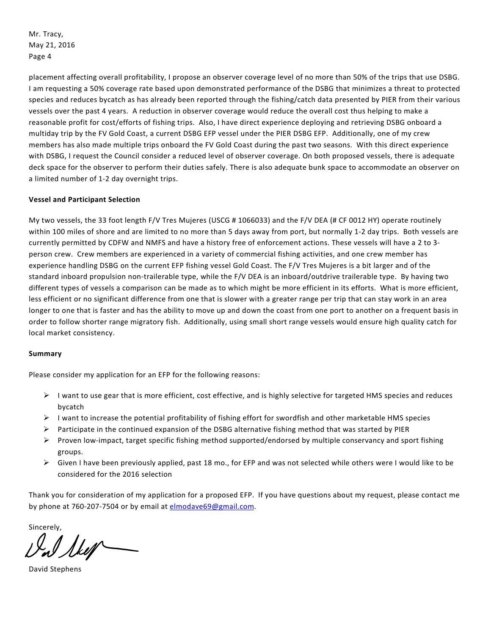placement affecting overall profitability, I propose an observer coverage level of no more than 50% of the trips that use DSBG. I am requesting a 50% coverage rate based upon demonstrated performance of the DSBG that minimizes a threat to protected species and reduces bycatch as has already been reported through the fishing/catch data presented by PIER from their various vessels over the past 4 years. A reduction in observer coverage would reduce the overall cost thus helping to make a reasonable profit for cost/efforts of fishing trips. Also, I have direct experience deploying and retrieving DSBG onboard a multiday trip by the FV Gold Coast, a current DSBG EFP vessel under the PIER DSBG EFP. Additionally, one of my crew members has also made multiple trips onboard the FV Gold Coast during the past two seasons. With this direct experience with DSBG, I request the Council consider a reduced level of observer coverage. On both proposed vessels, there is adequate deck space for the observer to perform their duties safely. There is also adequate bunk space to accommodate an observer on a limited number of 1-2 day overnight trips.

# **Vessel and Participant Selection**

My two vessels, the 33 foot length F/V Tres Mujeres (USCG # 1066033) and the F/V DEA (# CF 0012 HY) operate routinely within 100 miles of shore and are limited to no more than 5 days away from port, but normally 1-2 day trips. Both vessels are currently permitted by CDFW and NMFS and have a history free of enforcement actions. These vessels will have a 2 to 3 person crew. Crew members are experienced in a variety of commercial fishing activities, and one crew member has experience handling DSBG on the current EFP fishing vessel Gold Coast. The F/V Tres Mujeres is a bit larger and of the standard inboard propulsion non-trailerable type, while the F/V DEA is an inboard/outdrive trailerable type. By having two different types of vessels a comparison can be made as to which might be more efficient in its efforts. What is more efficient, less efficient or no significant difference from one that is slower with a greater range per trip that can stay work in an area longer to one that is faster and has the ability to move up and down the coast from one port to another on a frequent basis in order to follow shorter range migratory fish. Additionally, using small short range vessels would ensure high quality catch for local market consistency.

### **Summary**

Please consider my application for an EFP for the following reasons:

- $\triangleright$  I want to use gear that is more efficient, cost effective, and is highly selective for targeted HMS species and reduces bycatch
- $\triangleright$  I want to increase the potential profitability of fishing effort for swordfish and other marketable HMS species
- $\triangleright$  Participate in the continued expansion of the DSBG alternative fishing method that was started by PIER
- $\triangleright$  Proven low-impact, target specific fishing method supported/endorsed by multiple conservancy and sport fishing groups.
- $\triangleright$  Given I have been previously applied, past 18 mo., for EFP and was not selected while others were I would like to be considered for the 2016 selection

Thank you for consideration of my application for a proposed EFP. If you have questions about my request, please contact me by phone at 760-207-7504 or by email at [elmodave69@gmail.com.](mailto:elmodave69@gmail.com)

Sincerely,

Sker

David Stephens